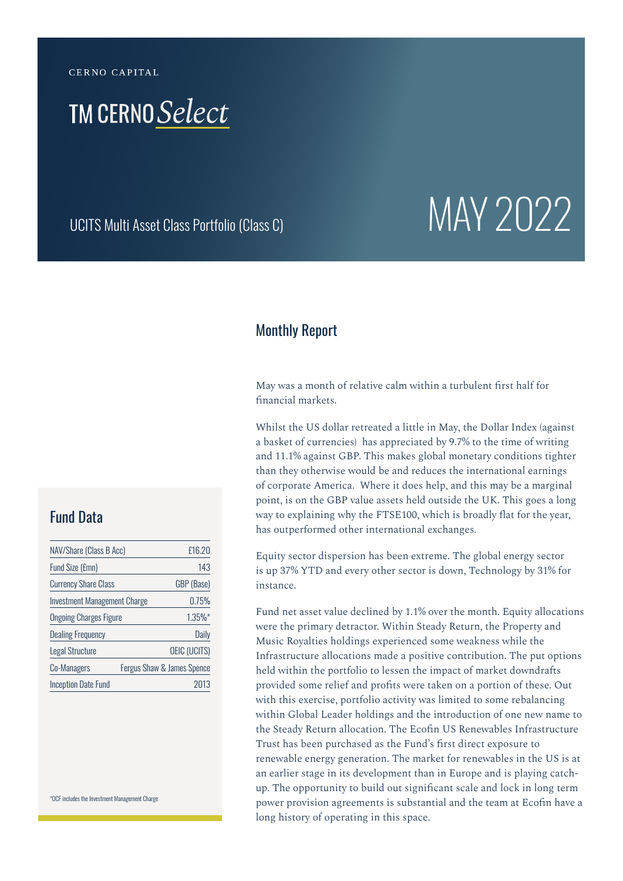CERNO CAPITAL

## **TM CERNO Select**

# UCITS Multi Asset Class Portfolio (Class C)  $\text{MAN}$  2022

#### Monthly Report

May was a month of relative calm within a turbulent first half for financial markets.

Whilst the US dollar retreated a little in May, the Dollar Index (against a basket of currencies) has appreciated by 9.7% to the time of writing and 11.1% against GBP. This makes global monetary conditions tighter than they otherwise would be and reduces the international earnings of corporate America. Where it does help, and this may be a marginal point, is on the GBP value assets held outside the UK. This goes a long way to explaining why the FTSE100, which is broadly flat for the year, has outperformed other international exchanges.

Equity sector dispersion has been extreme. The global energy sector is up 37% YTD and every other sector is down, Technology by 31% for instance.

Fund net asset value declined by 1.1% over the month. Equity allocations were the primary detractor. Within Steady Return, the Property and Music Royalties holdings experienced some weakness while the Infrastructure allocations made a positive contribution. The put options held within the portfolio to lessen the impact of market downdrafts provided some relief and profits were taken on a portion of these. Out with this exercise, portfolio activity was limited to some rebalancing within Global Leader holdings and the introduction of one new name to the Steady Return allocation. The Ecofin US Renewables Infrastructure Trust has been purchased as the Fund's first direct exposure to renewable energy generation. The market for renewables in the US is at an earlier stage in its development than in Europe and is playing catchup. The opportunity to build out significant scale and lock in long term power provision agreements is substantial and the team at Ecofin have a long history of operating in this space.

#### Fund Data

| NAV/Share (Class B Acc)       | £16.20                     |
|-------------------------------|----------------------------|
| Fund Size (£mn)               | 143                        |
| <b>Currency Share Class</b>   | GBP (Base)                 |
| Investment Management Charge  | 0.75%                      |
| <b>Ongoing Charges Figure</b> | $1.35%$ *                  |
| <b>Dealing Frequency</b>      | Daily                      |
| <b>Legal Structure</b>        | <b>OEIC (UCITS)</b>        |
| Co-Managers                   | Fergus Shaw & James Spence |
| <b>Inception Date Fund</b>    | 2013                       |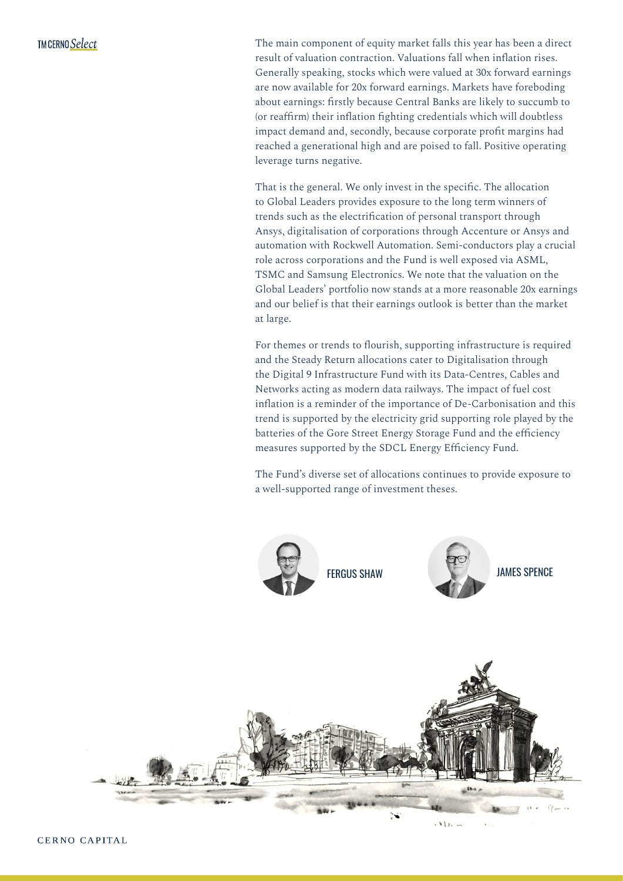The main component of equity market falls this year has been a direct result of valuation contraction. Valuations fall when inflation rises. Generally speaking, stocks which were valued at 30x forward earnings are now available for 20x forward earnings. Markets have foreboding about earnings: firstly because Central Banks are likely to succumb to (or reaffirm) their inflation fighting credentials which will doubtless impact demand and, secondly, because corporate profit margins had reached a generational high and are poised to fall. Positive operating leverage turns negative.

That is the general. We only invest in the specific. The allocation to Global Leaders provides exposure to the long term winners of trends such as the electrification of personal transport through Ansys, digitalisation of corporations through Accenture or Ansys and automation with Rockwell Automation. Semi-conductors play a crucial role across corporations and the Fund is well exposed via ASML, TSMC and Samsung Electronics. We note that the valuation on the Global Leaders' portfolio now stands at a more reasonable 20x earnings and our belief is that their earnings outlook is better than the market at large.

For themes or trends to flourish, supporting infrastructure is required and the Steady Return allocations cater to Digitalisation through the Digital 9 Infrastructure Fund with its Data-Centres, Cables and Networks acting as modern data railways. The impact of fuel cost inflation is a reminder of the importance of De-Carbonisation and this trend is supported by the electricity grid supporting role played by the batteries of the Gore Street Energy Storage Fund and the efficiency measures supported by the SDCL Energy Efficiency Fund.

The Fund's diverse set of allocations continues to provide exposure to a well-supported range of investment theses.

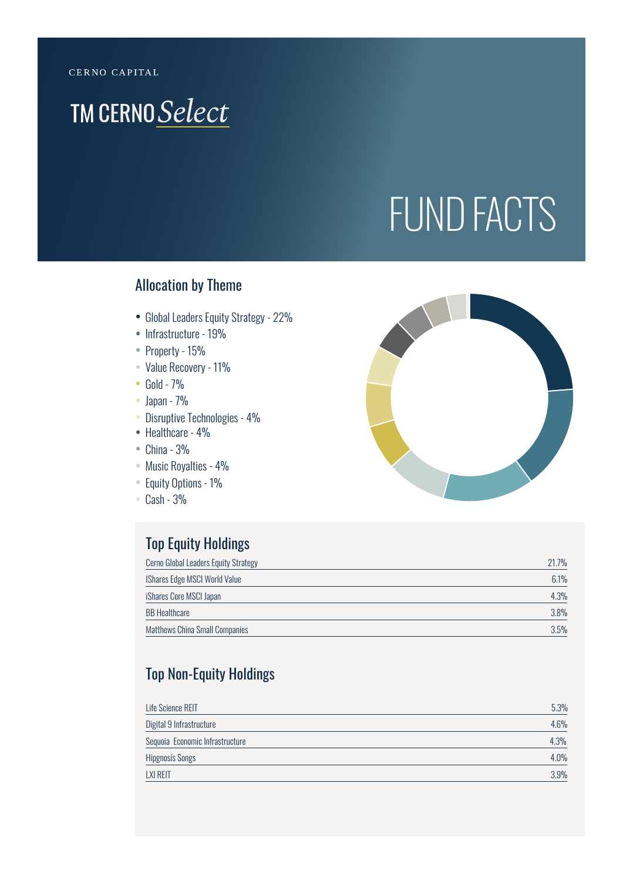## **TM CERNO Select**

# FUND FACTS

#### Allocation by Theme

- Global Leaders Equity Strategy 22%
- Infrastructure 19%
- Property 15%
- Value Recovery 11%
- Gold 7%
- Japan 7%
- Disruptive Technologies 4%
- Healthcare 4%
- $\bullet$  China 3%
- Music Royalties 4%
- Equity Options 1%
- Cash 3%

#### Top Equity Holdings

| Cerno Global Leaders Equity Strategy  | 21.7%   |
|---------------------------------------|---------|
| <b>IShares Edge MSCI World Value</b>  | 6.1%    |
| iShares Core MSCI Japan               | 4.3%    |
| <b>BB Healthcare</b>                  | $3.8\%$ |
| <b>Matthews China Small Companies</b> | 3.5%    |

### Top Non-Equity Holdings

| Life Science REIT               | 5.3% |
|---------------------------------|------|
| Digital 9 Infrastructure        | 4.6% |
| Sequoia Economic Infrastructure | 4.3% |
| <b>Hipgnosis Songs</b>          | 4.0% |
| <b>LXI REIT</b>                 | 3.9% |

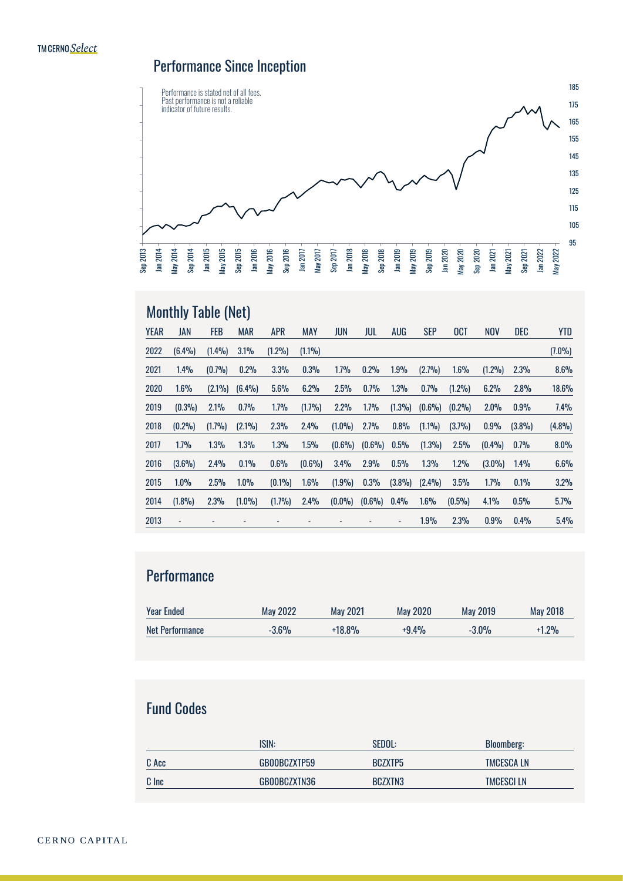### Performance Since Inception



### Monthly Table (Net)

| <b>YEAR</b> | JAN                      | <b>FEB</b> | <b>MAR</b> | <b>APR</b> | <b>MAY</b>     | <b>JUN</b> | jul            | AUG                      | <b>SEP</b> | <b>OCT</b> | <b>NOV</b> | DEC    | <b>YTD</b> |
|-------------|--------------------------|------------|------------|------------|----------------|------------|----------------|--------------------------|------------|------------|------------|--------|------------|
| 2022        | (6.4%)                   | (1.4%)     | 3.1%       | (1.2%)     | $(1.1\%)$      |            |                |                          |            |            |            |        | $(7.0\%)$  |
| 2021        | 1.4%                     | (0.7%)     | 0.2%       | 3.3%       | 0.3%           | 1.7%       | 0.2%           | 1.9%                     | (2.7%)     | 1.6%       | (1.2%)     | 2.3%   | 8.6%       |
| 2020        | 1.6%                     | (2.1%)     | (6.4%)     | 5.6%       | 6.2%           | 2.5%       | 0.7%           | 1.3%                     | 0.7%       | (1.2%)     | 6.2%       | 2.8%   | 18.6%      |
| 2019        | (0.3%)                   | 2.1%       | 0.7%       | 1.7%       | (1.7%)         | 2.2%       | 1.7%           | (1.3%)                   | (0.6%)     | (0.2%)     | 2.0%       | 0.9%   | 7.4%       |
| 2018        | (0.2%)                   | (1.7%)     | (2.1%)     | 2.3%       | 2.4%           | (1.0%)     | 2.7%           | 0.8%                     | (1.1%)     | (3.7%)     | 0.9%       | (3.8%) | (4.8%)     |
| 2017        | 1.7%                     | 1.3%       | 1.3%       | 1.3%       | 1.5%           | (0.6%)     | $(0.6\%)$      | 0.5%                     | (1.3%)     | 2.5%       | (0.4%      | 0.7%   | 8.0%       |
| 2016        | (3.6%)                   | 2.4%       | 0.1%       | 0.6%       | (0.6%)         | 3.4%       | 2.9%           | 0.5%                     | 1.3%       | 1.2%       | (3.0%)     | 1.4%   | 6.6%       |
| 2015        | 1.0%                     | 2.5%       | 1.0%       | (0.1%      | 1.6%           | (1.9%)     | 0.3%           | (3.8%)                   | (2.4%)     | 3.5%       | 1.7%       | 0.1%   | 3.2%       |
| 2014        | (1.8%)                   | 2.3%       | (1.0%)     | (1.7%)     | 2.4%           | $(0.0\%)$  | $(0.6\%)$      | 0.4%                     | 1.6%       | (0.5%)     | 4.1%       | 0.5%   | 5.7%       |
| 2013        | $\overline{\phantom{a}}$ |            |            |            | $\overline{a}$ |            | $\overline{a}$ | $\overline{\phantom{a}}$ | 1.9%       | 2.3%       | 0.9%       | 0.4%   | 5.4%       |

#### **Performance**

| <b>Year Ended</b>      | <b>May 2022</b> | May 2021 | May 2020 | May 2019 | May 2018 |
|------------------------|-----------------|----------|----------|----------|----------|
| <b>Net Performance</b> | $-3.6%$         | $+18.8%$ | $+9.4%$  | $-3.0%$  | $+1.2%$  |

#### Fund Codes

|       | ISIN:        | SEDOL:  | <b>Bloomberg:</b> |
|-------|--------------|---------|-------------------|
| C Acc | GB00BCZXTP59 | BCZXTP5 | <b>TMCESCALN</b>  |
| C Inc | GB00BCZXTN36 | BCZXTN3 | <b>TMCESCI LN</b> |